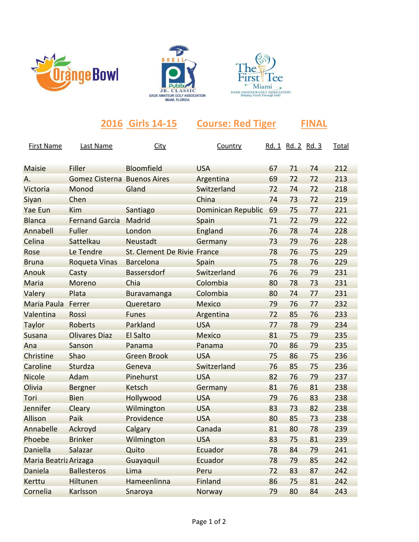





|                       |                                    | 2016 Girls 14-15            | <b>Course: Red Tiger</b> |    |                          | <b>FINAL</b> |              |
|-----------------------|------------------------------------|-----------------------------|--------------------------|----|--------------------------|--------------|--------------|
| First Name            | <b>Last Name</b>                   | <b>City</b>                 | Country                  |    | <u>Rd. 1 Rd. 2 Rd. 3</u> |              | <b>Total</b> |
| <b>Maisie</b>         | Filler                             | Bloomfield                  | <b>USA</b>               | 67 | 71                       | 74           | 212          |
| А.                    | <b>Gomez Cisterna Buenos Aires</b> |                             | Argentina                | 69 | 72                       | 72           | 213          |
| Victoria              | Monod                              | Gland                       | Switzerland              | 72 | 74                       | 72           | 218          |
| Siyan                 | Chen                               |                             | China                    | 74 | 73                       | 72           | 219          |
| <b>Yae Eun</b>        | Kim                                | Santiago                    | Dominican Republic       | 69 | 75                       | 77           | 221          |
| <b>Blanca</b>         | <b>Fernand Garcia</b>              | Madrid                      | Spain                    | 71 | 72                       | 79           | 222          |
| Annabell              | <b>Fuller</b>                      | London                      | England                  | 76 | 78                       | 74           | 228          |
| Celina                | Sattelkau                          | Neustadt                    | Germany                  | 73 | 79                       | 76           | 228          |
| Rose                  | Le Tendre                          | St. Clement De Rivie France |                          | 78 | 76                       | 75           | 229          |
| <b>Bruna</b>          | <b>Roqueta Vinas</b>               | <b>Barcelona</b>            | Spain                    | 75 | 78                       | 76           | 229          |
| Anouk                 | Casty                              | Bassersdorf                 | Switzerland              | 76 | 76                       | 79           | 231          |
| Maria                 | Moreno                             | Chia                        | Colombia                 | 80 | 78                       | 73           | 231          |
| Valery                | Plata                              | Buravamanga                 | Colombia                 | 80 | 74                       | 77           | 231          |
| Maria Paula           | Ferrer                             | Queretaro                   | <b>Mexico</b>            | 79 | 76                       | 77           | 232          |
| Valentina             | Rossi                              | <b>Funes</b>                | Argentina                | 72 | 85                       | 76           | 233          |
| Taylor                | Roberts                            | Parkland                    | <b>USA</b>               | 77 | 78                       | 79           | 234          |
| <b>Susana</b>         | <b>Olivares Diaz</b>               | <b>El Salto</b>             | <b>Mexico</b>            | 81 | 75                       | 79           | 235          |
| Ana                   | Sanson                             | Panama                      | Panama                   | 70 | 86                       | 79           | 235          |
| <b>Christine</b>      | Shao                               | <b>Green Brook</b>          | <b>USA</b>               | 75 | 86                       | 75           | 236          |
| Caroline              | Sturdza                            | Geneva                      | Switzerland              | 76 | 85                       | 75           | 236          |
| <b>Nicole</b>         | Adam                               | Pinehurst                   | <b>USA</b>               | 82 | 76                       | 79           | 237          |
| Olivia                | <b>Bergner</b>                     | Ketsch                      | Germany                  | 81 | 76                       | 81           | 238          |
| Tori                  | <b>Bien</b>                        | Hollywood                   | <b>USA</b>               | 79 | 76                       | 83           | 238          |
| <b>Jennifer</b>       | Cleary                             | Wilmington                  | <b>USA</b>               | 83 | 73                       | 82           | 238          |
| <b>Allison</b>        | Paik                               | Providence                  | <b>USA</b>               | 80 | 85                       | 73           | 238          |
| Annabelle             | Ackroyd                            | Calgary                     | Canada                   | 81 | 80                       | 78           | 239          |
| Phoebe                | <b>Brinker</b>                     | Wilmington                  | <b>USA</b>               | 83 | 75                       | 81           | 239          |
| Daniella              | Salazar                            | Quito                       | Ecuador                  | 78 | 84                       | 79           | 241          |
| Maria Beatriz Arizaga |                                    | Guayaquil                   | Ecuador                  | 78 | 79                       | 85           | 242          |
| Daniela               | <b>Ballesteros</b>                 | Lima                        | Peru                     | 72 | 83                       | 87           | 242          |
| Kerttu                | <b>Hiltunen</b>                    | Hameenlinna                 | <b>Finland</b>           | 86 | 75                       | 81           | 242          |

Cornelia Karlsson Snaroya Norway 79 80 84 243